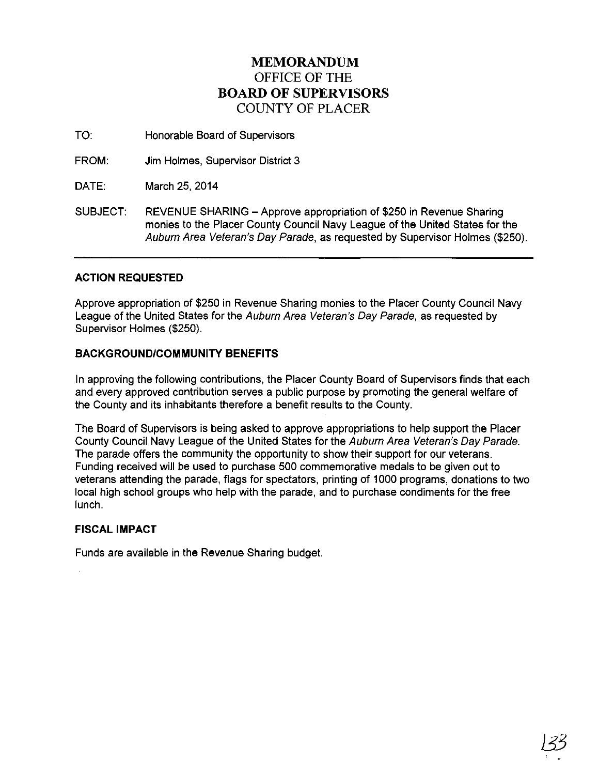## **MEMORANDUM**  OFFICE OF THE **BOARD OF SUPERVISORS**  COUNTY OF PLACER

TO: Honorable Board of Supervisors

FROM: Jim Holmes, Supervisor District 3

DATE: March 25, 2014

SUBJECT: REVENUE SHARING- Approve appropriation of \$250 in Revenue Sharing monies to the Placer County Council Navy League of the United States for the Auburn Area Veteran's Day Parade, as requested by Supervisor Holmes (\$250).

## **ACTION REQUESTED**

Approve appropriation of \$250 in Revenue Sharing monies to the Placer County Council Navy League of the United States for the Auburn Area Veteran's Day Parade, as requested by Supervisor Holmes (\$250).

## **BACKGROUND/COMMUNITY BENEFITS**

In approving the following contributions, the Placer County Board of Supervisors finds that each and every approved contribution serves a public purpose by promoting the general welfare of the County and its inhabitants therefore a benefit results to the County.

The Board of Supervisors is being asked to approve appropriations to help support the Placer County Council Navy League of the United States for the Auburn Area Veteran's Day Parade. The parade offers the community the opportunity to show their support for our veterans. Funding received will be used to purchase 500 commemorative medals to be given out to veterans attending the parade, flags for spectators, printing of 1000 programs, donations to two local high school groups who help with the parade, and to purchase condiments for the free lunch.

## **FISCAL IMPACT**

Funds are available in the Revenue Sharing budget.